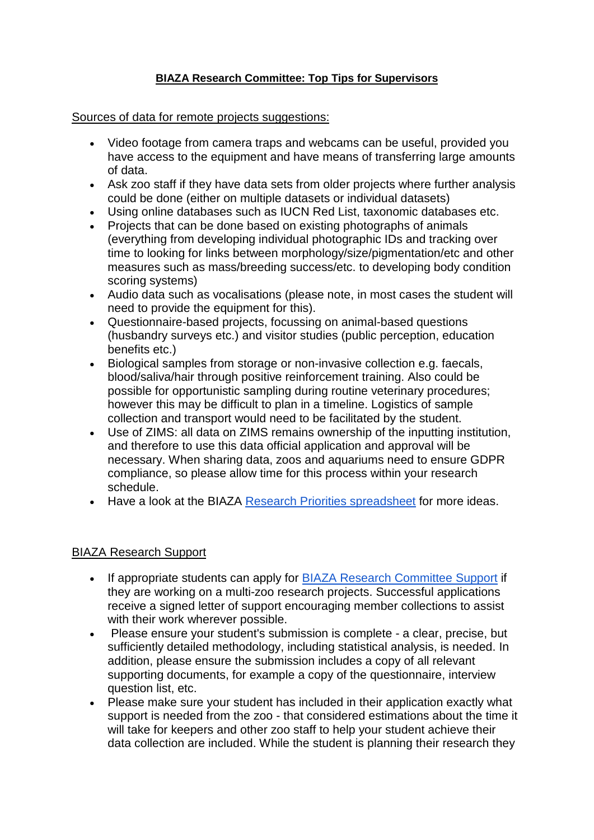## **BIAZA Research Committee: Top Tips for Supervisors**

## Sources of data for remote projects suggestions:

- Video footage from camera traps and webcams can be useful, provided you have access to the equipment and have means of transferring large amounts of data.
- Ask zoo staff if they have data sets from older projects where further analysis could be done (either on multiple datasets or individual datasets)
- Using online databases such as IUCN Red List, taxonomic databases etc.
- Projects that can be done based on existing photographs of animals (everything from developing individual photographic IDs and tracking over time to looking for links between morphology/size/pigmentation/etc and other measures such as mass/breeding success/etc. to developing body condition scoring systems)
- Audio data such as vocalisations (please note, in most cases the student will need to provide the equipment for this).
- Questionnaire-based projects, focussing on animal-based questions (husbandry surveys etc.) and visitor studies (public perception, education benefits etc.)
- Biological samples from storage or non-invasive collection e.g. faecals, blood/saliva/hair through positive reinforcement training. Also could be possible for opportunistic sampling during routine veterinary procedures; however this may be difficult to plan in a timeline. Logistics of sample collection and transport would need to be facilitated by the student.
- Use of ZIMS: all data on ZIMS remains ownership of the inputting institution, and therefore to use this data official application and approval will be necessary. When sharing data, zoos and aquariums need to ensure GDPR compliance, so please allow time for this process within your research schedule.
- Have a look at the BIAZA [Research Priorities spreadsheet](https://biaza.org.uk/downloader/1356) for more ideas.

## BIAZA Research Support

- If appropriate students can apply for [BIAZA Research Committee Support](https://biaza.org.uk/research-support) if they are working on a multi-zoo research projects. Successful applications receive a signed letter of support encouraging member collections to assist with their work wherever possible.
- Please ensure your student's submission is complete a clear, precise, but sufficiently detailed methodology, including statistical analysis, is needed. In addition, please ensure the submission includes a copy of all relevant supporting documents, for example a copy of the questionnaire, interview question list, etc.
- Please make sure your student has included in their application exactly what support is needed from the zoo - that considered estimations about the time it will take for keepers and other zoo staff to help your student achieve their data collection are included. While the student is planning their research they